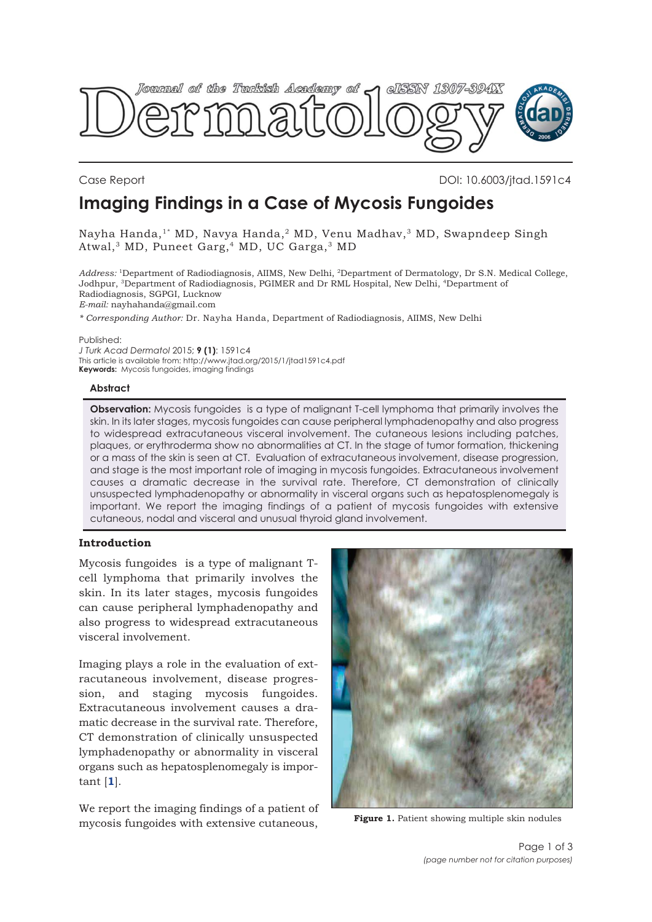<span id="page-0-0"></span>

# **Imaging Findings in a Case of Mycosis Fungoides** Case Report DOI: 10.6003/jtad.1591c4

Nayha Handa,<sup>1\*</sup> MD, Navya Handa,<sup>2</sup> MD, Venu Madhav,<sup>3</sup> MD, Swapndeep Singh Atwal,3 MD, Puneet Garg,4 MD, UC Garga,3 MD

*Address:* 1Department of Radiodiagnosis, AIIMS, New Delhi, 2Department of Dermatology, Dr S.N. Medical College, Jodhpur, 3Department of Radiodiagnosis, PGIMER and Dr RML Hospital, New Delhi, 4Department of Radiodiagnosis, SGPGI, Lucknow *E-mail:* nayhahanda@gmail.com

*\* Corresponding Author:* Dr. Nayha Handa, Department of Radiodiagnosis, AIIMS, New Delhi

Published:

*J Turk Acad Dermatol* 2015; **9 (1)**: 1591c4 This article is available from: http://www.jtad.org/2015/1/jtad1591c4.pdf **Keywords:** Mycosis fungoides, imaging findings

# **Abstract**

**Observation:** Mycosis fungoides is a type of malignant T-cell lymphoma that primarily involves the skin. In its later stages, mycosis fungoides can cause peripheral lymphadenopathy and also progress to widespread extracutaneous visceral involvement. The cutaneous lesions including patches, plaques, or erythroderma show no abnormalities at CT. In the stage of tumor formation, thickening or a mass of the skin is seen at CT. Evaluation of extracutaneous involvement, disease progression, and stage is the most important role of imaging in mycosis fungoides. Extracutaneous involvement causes a dramatic decrease in the survival rate. Therefore, CT demonstration of clinically unsuspected lymphadenopathy or abnormality in visceral organs such as hepatosplenomegaly is important. We report the imaging findings of a patient of mycosis fungoides with extensive cutaneous, nodal and visceral and unusual thyroid gland involvement.

## **Introduction**

Mycosis fungoides is a type of malignant Tcell lymphoma that primarily involves the skin. In its later stages, mycosis fungoides can cause peripheral lymphadenopathy and also progress to widespread extracutaneous visceral involvement.

Imaging plays a role in the evaluation of extracutaneous involvement, disease progression, and staging mycosis fungoides. Extracutaneous involvement causes a dramatic decrease in the survival rate. Therefore, CT demonstration of clinically unsuspected lymphadenopathy or abnormality in visceral organs such as hepatosplenomegaly is important [**[1](#page-2-0)**].

We report the imaging findings of a patient of mycosis fungoides with extensive cutaneous,



**Figure 1.** Patient showing multiple skin nodules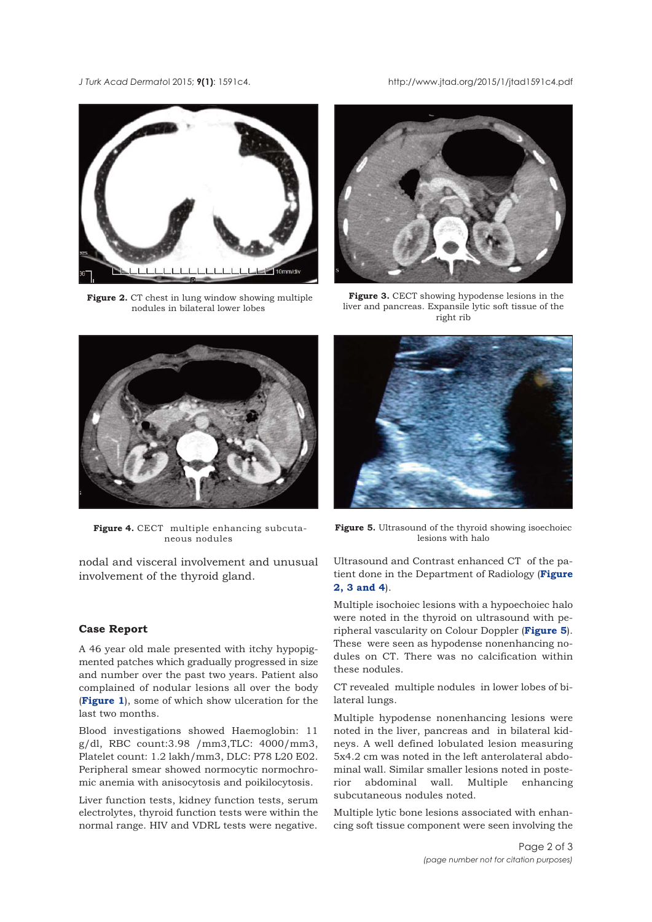### *J Turk Acad Dermato*l 2015; **9(1)**: 1591c4. http://www.jtad.org/2015/1/jtad1591c4.pdf



**Figure 2.** CT chest in lung window showing multiple nodules in bilateral lower lobes



**Figure 3.** CECT showing hypodense lesions in the liver and pancreas. Expansile lytic soft tissue of the right rib



**Figure 4.** CECT multiple enhancing subcutaneous nodules

nodal and visceral involvement and unusual involvement of the thyroid gland.

# **Case Report**

A 46 year old male presented with itchy hypopigmented patches which gradually progressed in size and number over the past two years. Patient also complained of nodular lesions all over the body (**[Figure 1](#page-0-0)**), some of which show ulceration for the last two months.

Blood investigations showed Haemoglobin: 11 g/dl, RBC count:3.98 /mm3,TLC: 4000/mm3, Platelet count: 1.2 lakh/mm3, DLC: P78 L20 E02. Peripheral smear showed normocytic normochromic anemia with anisocytosis and poikilocytosis.

Liver function tests, kidney function tests, serum electrolytes, thyroid function tests were within the normal range. HIV and VDRL tests were negative.



**Figure 5.** Ultrasound of the thyroid showing isoechoiec lesions with halo

Ultrasound and Contrast enhanced CT of the patient done in the Department of Radiology (**Figure 2, 3 and 4**).

Multiple isochoiec lesions with a hypoechoiec halo were noted in the thyroid on ultrasound with peripheral vascularity on Colour Doppler (**Figure 5**). These were seen as hypodense nonenhancing nodules on CT. There was no calcification within these nodules.

CT revealed multiple nodules in lower lobes of bilateral lungs.

Multiple hypodense nonenhancing lesions were noted in the liver, pancreas and in bilateral kidneys. A well defined lobulated lesion measuring 5x4.2 cm was noted in the left anterolateral abdominal wall. Similar smaller lesions noted in posterior abdominal wall. Multiple enhancing subcutaneous nodules noted.

Multiple lytic bone lesions associated with enhancing soft tissue component were seen involving the